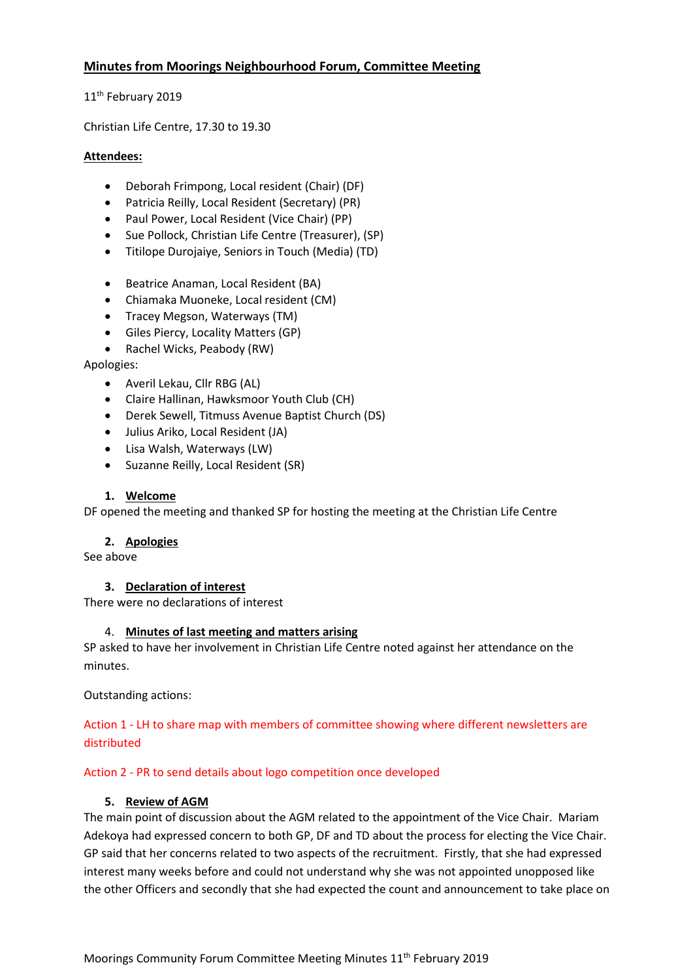## **Minutes from Moorings Neighbourhood Forum, Committee Meeting**

11<sup>th</sup> February 2019

Christian Life Centre, 17.30 to 19.30

### **Attendees:**

- Deborah Frimpong, Local resident (Chair) (DF)
- Patricia Reilly, Local Resident (Secretary) (PR)
- Paul Power, Local Resident (Vice Chair) (PP)
- Sue Pollock, Christian Life Centre (Treasurer), (SP)
- Titilope Durojaiye, Seniors in Touch (Media) (TD)
- Beatrice Anaman, Local Resident (BA)
- Chiamaka Muoneke, Local resident (CM)
- Tracey Megson, Waterways (TM)
- Giles Piercy, Locality Matters (GP)
- Rachel Wicks, Peabody (RW)

Apologies:

- Averil Lekau, Cllr RBG (AL)
- Claire Hallinan, Hawksmoor Youth Club (CH)
- Derek Sewell, Titmuss Avenue Baptist Church (DS)
- Julius Ariko, Local Resident (JA)
- Lisa Walsh, Waterways (LW)
- Suzanne Reilly, Local Resident (SR)

## **1. Welcome**

DF opened the meeting and thanked SP for hosting the meeting at the Christian Life Centre

### **2. Apologies**

See above

## **3. Declaration of interest**

There were no declarations of interest

### 4. **Minutes of last meeting and matters arising**

SP asked to have her involvement in Christian Life Centre noted against her attendance on the minutes.

Outstanding actions:

## Action 1 - LH to share map with members of committee showing where different newsletters are distributed

### Action 2 - PR to send details about logo competition once developed

### **5. Review of AGM**

The main point of discussion about the AGM related to the appointment of the Vice Chair. Mariam Adekoya had expressed concern to both GP, DF and TD about the process for electing the Vice Chair. GP said that her concerns related to two aspects of the recruitment. Firstly, that she had expressed interest many weeks before and could not understand why she was not appointed unopposed like the other Officers and secondly that she had expected the count and announcement to take place on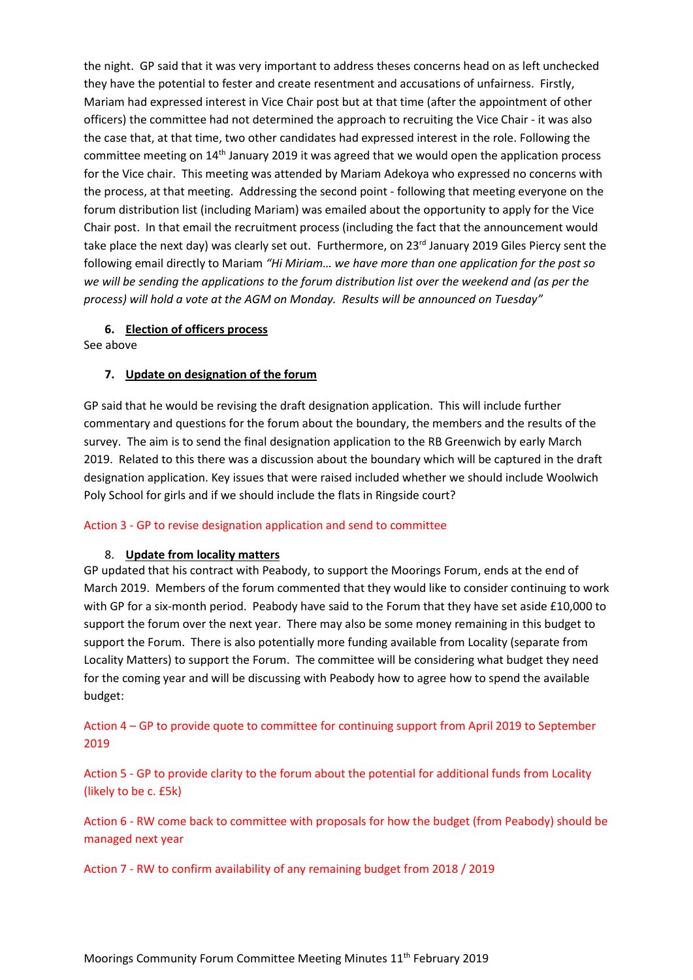the night. GP said that it was very important to address theses concerns head on as left unchecked they have the potential to fester and create resentment and accusations of unfairness. Firstly, Mariam had expressed interest in Vice Chair post but at that time (after the appointment of other officers) the committee had not determined the approach to recruiting the Vice Chair - it was also the case that, at that time, two other candidates had expressed interest in the role. Following the committee meeting on 14th January 2019 it was agreed that we would open the application process for the Vice chair. This meeting was attended by Mariam Adekoya who expressed no concerns with the process, at that meeting. Addressing the second point - following that meeting everyone on the forum distribution list (including Mariam) was emailed about the opportunity to apply for the Vice Chair post. In that email the recruitment process (including the fact that the announcement would take place the next day) was clearly set out. Furthermore, on 23<sup>rd</sup> January 2019 Giles Piercy sent the following email directly to Mariam *"Hi Miriam… we have more than one application for the post so we will be sending the applications to the forum distribution list over the weekend and (as per the process) will hold a vote at the AGM on Monday. Results will be announced on Tuesday"*

### **6. Election of officers process**

See above

### **7. Update on designation of the forum**

GP said that he would be revising the draft designation application. This will include further commentary and questions for the forum about the boundary, the members and the results of the survey. The aim is to send the final designation application to the RB Greenwich by early March 2019. Related to this there was a discussion about the boundary which will be captured in the draft designation application. Key issues that were raised included whether we should include Woolwich Poly School for girls and if we should include the flats in Ringside court?

#### Action 3 - GP to revise designation application and send to committee

#### 8. **Update from locality matters**

GP updated that his contract with Peabody, to support the Moorings Forum, ends at the end of March 2019. Members of the forum commented that they would like to consider continuing to work with GP for a six-month period. Peabody have said to the Forum that they have set aside £10,000 to support the forum over the next year. There may also be some money remaining in this budget to support the Forum. There is also potentially more funding available from Locality (separate from Locality Matters) to support the Forum. The committee will be considering what budget they need for the coming year and will be discussing with Peabody how to agree how to spend the available budget:

## Action 4 – GP to provide quote to committee for continuing support from April 2019 to September 2019

Action 5 - GP to provide clarity to the forum about the potential for additional funds from Locality (likely to be c. £5k)

Action 6 - RW come back to committee with proposals for how the budget (from Peabody) should be managed next year

Action 7 - RW to confirm availability of any remaining budget from 2018 / 2019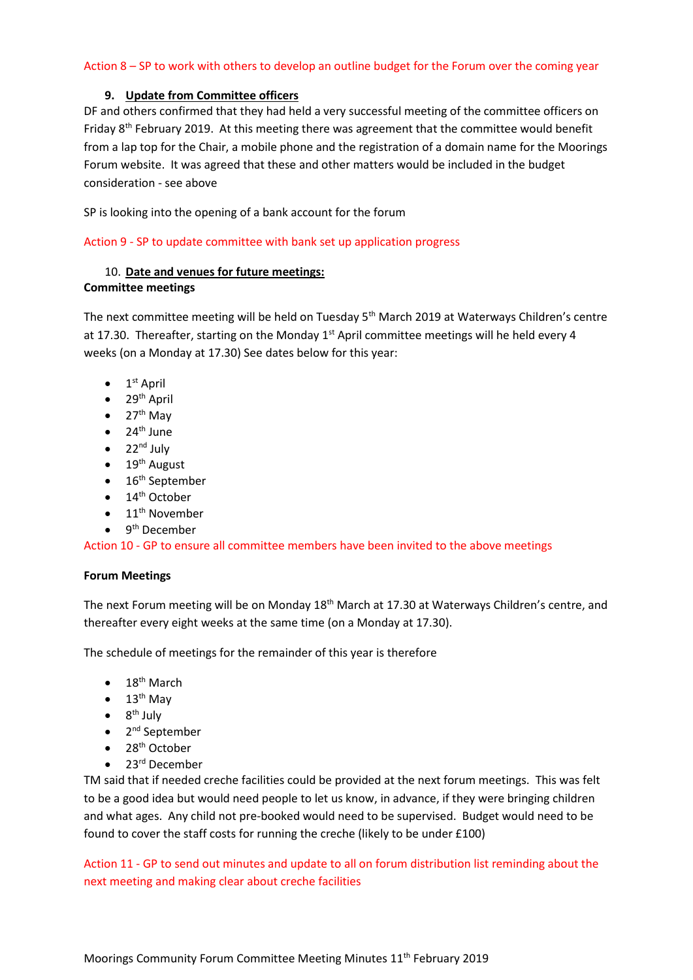### Action 8 – SP to work with others to develop an outline budget for the Forum over the coming year

### **9. Update from Committee officers**

DF and others confirmed that they had held a very successful meeting of the committee officers on Friday 8<sup>th</sup> February 2019. At this meeting there was agreement that the committee would benefit from a lap top for the Chair, a mobile phone and the registration of a domain name for the Moorings Forum website. It was agreed that these and other matters would be included in the budget consideration - see above

SP is looking into the opening of a bank account for the forum

Action 9 - SP to update committee with bank set up application progress

## 10. **Date and venues for future meetings: Committee meetings**

The next committee meeting will be held on Tuesday 5<sup>th</sup> March 2019 at Waterways Children's centre at 17.30. Thereafter, starting on the Monday  $1<sup>st</sup>$  April committee meetings will he held every 4 weeks (on a Monday at 17.30) See dates below for this year:

- $\bullet$  1<sup>st</sup> April
- $\bullet$  29<sup>th</sup> April
- $\bullet$  27<sup>th</sup> May
- $\bullet$  24<sup>th</sup> June
- $\bullet$  22<sup>nd</sup> July
- $\bullet$  19<sup>th</sup> August
- $\bullet$  16<sup>th</sup> September
- $\bullet$  14<sup>th</sup> October
- $\bullet$  11<sup>th</sup> November
- 9<sup>th</sup> December

Action 10 - GP to ensure all committee members have been invited to the above meetings

### **Forum Meetings**

The next Forum meeting will be on Monday 18<sup>th</sup> March at 17.30 at Waterways Children's centre, and thereafter every eight weeks at the same time (on a Monday at 17.30).

The schedule of meetings for the remainder of this year is therefore

- $\bullet$  18<sup>th</sup> March
- $\bullet$  13<sup>th</sup> May
- $\bullet$  8<sup>th</sup> July
- 2<sup>nd</sup> September
- $\bullet$  28<sup>th</sup> October
- $\bullet$  23<sup>rd</sup> December

TM said that if needed creche facilities could be provided at the next forum meetings. This was felt to be a good idea but would need people to let us know, in advance, if they were bringing children and what ages. Any child not pre-booked would need to be supervised. Budget would need to be found to cover the staff costs for running the creche (likely to be under £100)

Action 11 - GP to send out minutes and update to all on forum distribution list reminding about the next meeting and making clear about creche facilities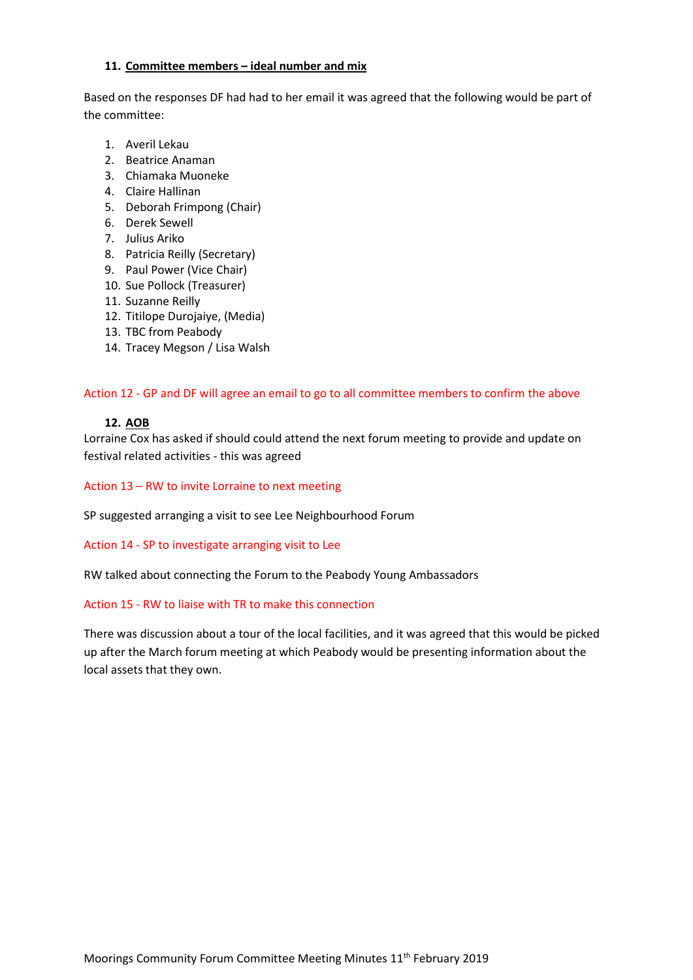### **11. Committee members – ideal number and mix**

Based on the responses DF had had to her email it was agreed that the following would be part of the committee:

- 1. Averil Lekau
- 2. Beatrice Anaman
- 3. Chiamaka Muoneke
- 4. Claire Hallinan
- 5. Deborah Frimpong (Chair)
- 6. Derek Sewell
- 7. Julius Ariko
- 8. Patricia Reilly (Secretary)
- 9. Paul Power (Vice Chair)
- 10. Sue Pollock (Treasurer)
- 11. Suzanne Reilly
- 12. Titilope Durojaiye, (Media)
- 13. TBC from Peabody
- 14. Tracey Megson / Lisa Walsh

Action 12 - GP and DF will agree an email to go to all committee members to confirm the above

### **12. AOB**

Lorraine Cox has asked if should could attend the next forum meeting to provide and update on festival related activities - this was agreed

### Action 13 – RW to invite Lorraine to next meeting

SP suggested arranging a visit to see Lee Neighbourhood Forum

Action 14 - SP to investigate arranging visit to Lee

RW talked about connecting the Forum to the Peabody Young Ambassadors

### Action 15 - RW to liaise with TR to make this connection

There was discussion about a tour of the local facilities, and it was agreed that this would be picked up after the March forum meeting at which Peabody would be presenting information about the local assets that they own.